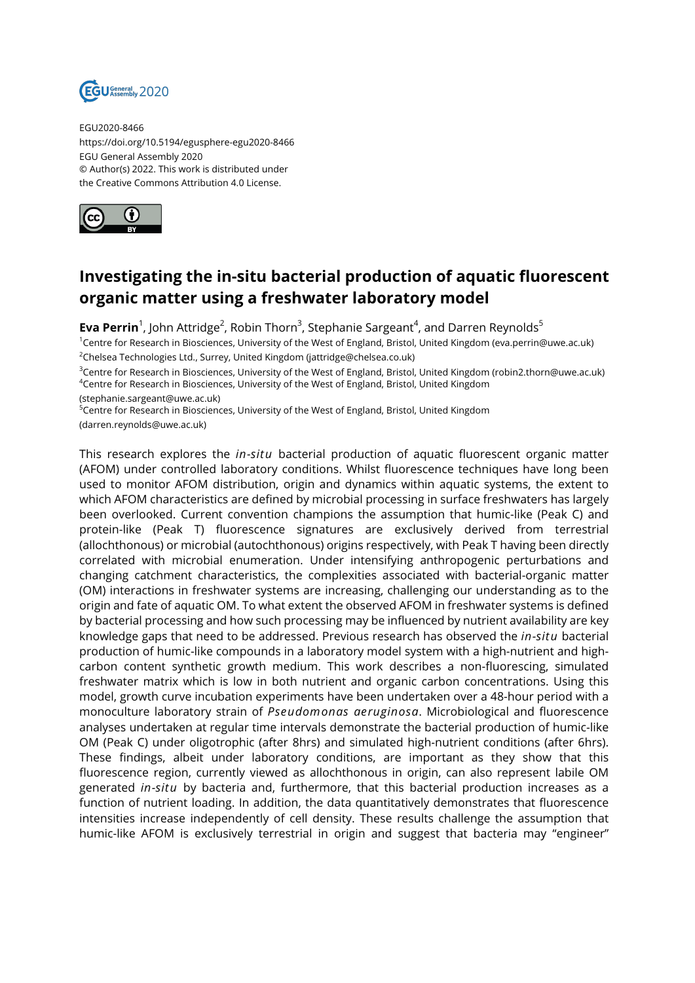

EGU2020-8466 https://doi.org/10.5194/egusphere-egu2020-8466 EGU General Assembly 2020 © Author(s) 2022. This work is distributed under the Creative Commons Attribution 4.0 License.



## **Investigating the in-situ bacterial production of aquatic fluorescent organic matter using a freshwater laboratory model**

**Eva Perrin**<sup>1</sup>, John Attridge<sup>2</sup>, Robin Thorn<sup>3</sup>, Stephanie Sargeant<sup>4</sup>, and Darren Reynolds<sup>5</sup>

<sup>1</sup>Centre for Research in Biosciences, University of the West of England, Bristol, United Kingdom (eva.perrin@uwe.ac.uk)  $2$ Chelsea Technologies Ltd., Surrey, United Kingdom (jattridge@chelsea.co.uk)

<sup>3</sup>Centre for Research in Biosciences, University of the West of England, Bristol, United Kingdom (robin2.thorn@uwe.ac.uk) <sup>4</sup>Centre for Research in Biosciences, University of the West of England, Bristol, United Kingdom

(stephanie.sargeant@uwe.ac.uk)

<sup>5</sup>Centre for Research in Biosciences, University of the West of England, Bristol, United Kingdom

(darren.reynolds@uwe.ac.uk)

This research explores the *in-situ* bacterial production of aquatic fluorescent organic matter (AFOM) under controlled laboratory conditions. Whilst fluorescence techniques have long been used to monitor AFOM distribution, origin and dynamics within aquatic systems, the extent to which AFOM characteristics are defined by microbial processing in surface freshwaters has largely been overlooked. Current convention champions the assumption that humic-like (Peak C) and protein-like (Peak T) fluorescence signatures are exclusively derived from terrestrial (allochthonous) or microbial (autochthonous) origins respectively, with Peak T having been directly correlated with microbial enumeration. Under intensifying anthropogenic perturbations and changing catchment characteristics, the complexities associated with bacterial-organic matter (OM) interactions in freshwater systems are increasing, challenging our understanding as to the origin and fate of aquatic OM. To what extent the observed AFOM in freshwater systems is defined by bacterial processing and how such processing may be influenced by nutrient availability are key knowledge gaps that need to be addressed. Previous research has observed the *in-situ* bacterial production of humic-like compounds in a laboratory model system with a high-nutrient and highcarbon content synthetic growth medium. This work describes a non-fluorescing, simulated freshwater matrix which is low in both nutrient and organic carbon concentrations. Using this model, growth curve incubation experiments have been undertaken over a 48-hour period with a monoculture laboratory strain of *Pseudomonas aeruginosa*. Microbiological and fluorescence analyses undertaken at regular time intervals demonstrate the bacterial production of humic-like OM (Peak C) under oligotrophic (after 8hrs) and simulated high-nutrient conditions (after 6hrs). These findings, albeit under laboratory conditions, are important as they show that this fluorescence region, currently viewed as allochthonous in origin, can also represent labile OM generated *in-situ* by bacteria and, furthermore, that this bacterial production increases as a function of nutrient loading. In addition, the data quantitatively demonstrates that fluorescence intensities increase independently of cell density. These results challenge the assumption that humic-like AFOM is exclusively terrestrial in origin and suggest that bacteria may "engineer"